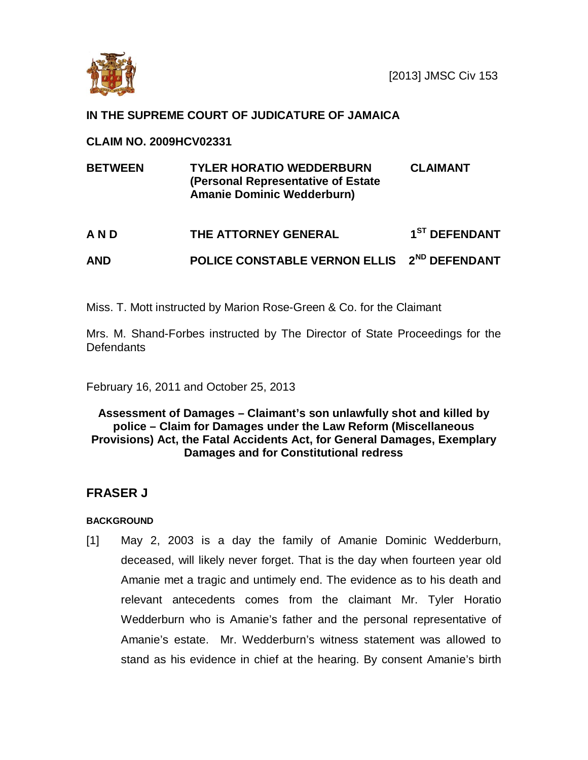

## **IN THE SUPREME COURT OF JUDICATURE OF JAMAICA**

#### **CLAIM NO. 2009HCV02331**

| <b>BETWEEN</b> | <b>TYLER HORATIO WEDDERBURN</b><br>(Personal Representative of Estate)<br><b>Amanie Dominic Wedderburn)</b> | <b>CLAIMANT</b>           |
|----------------|-------------------------------------------------------------------------------------------------------------|---------------------------|
| AND            | THE ATTORNEY GENERAL                                                                                        | 1 <sup>ST</sup> DEFENDANT |
| <b>AND</b>     | POLICE CONSTABLE VERNON ELLIS 2 <sup>ND</sup> DEFENDANT                                                     |                           |

Miss. T. Mott instructed by Marion Rose-Green & Co. for the Claimant

Mrs. M. Shand-Forbes instructed by The Director of State Proceedings for the Defendants

February 16, 2011 and October 25, 2013

### **Assessment of Damages – Claimant's son unlawfully shot and killed by police – Claim for Damages under the Law Reform (Miscellaneous Provisions) Act, the Fatal Accidents Act, for General Damages, Exemplary Damages and for Constitutional redress**

# **FRASER J**

### **BACKGROUND**

[1] May 2, 2003 is a day the family of Amanie Dominic Wedderburn, deceased, will likely never forget. That is the day when fourteen year old Amanie met a tragic and untimely end. The evidence as to his death and relevant antecedents comes from the claimant Mr. Tyler Horatio Wedderburn who is Amanie's father and the personal representative of Amanie's estate. Mr. Wedderburn's witness statement was allowed to stand as his evidence in chief at the hearing. By consent Amanie's birth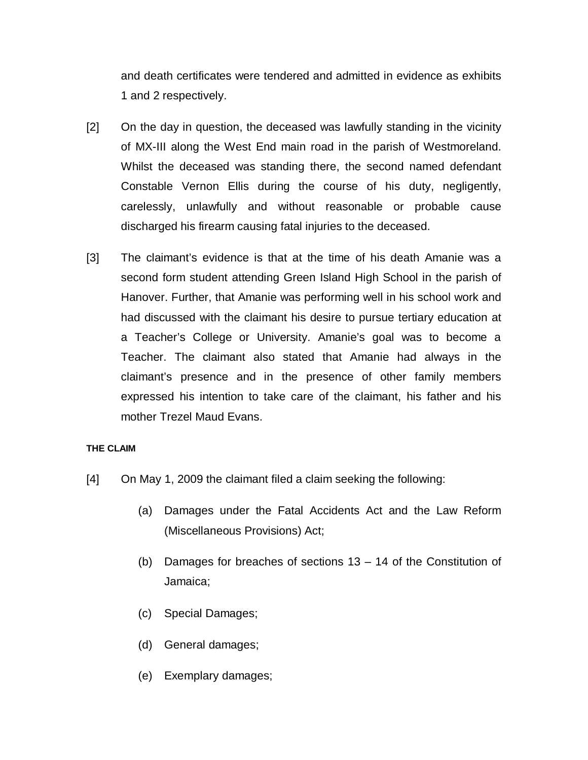and death certificates were tendered and admitted in evidence as exhibits 1 and 2 respectively.

- [2] On the day in question, the deceased was lawfully standing in the vicinity of MX-III along the West End main road in the parish of Westmoreland. Whilst the deceased was standing there, the second named defendant Constable Vernon Ellis during the course of his duty, negligently, carelessly, unlawfully and without reasonable or probable cause discharged his firearm causing fatal injuries to the deceased.
- [3] The claimant's evidence is that at the time of his death Amanie was a second form student attending Green Island High School in the parish of Hanover. Further, that Amanie was performing well in his school work and had discussed with the claimant his desire to pursue tertiary education at a Teacher's College or University. Amanie's goal was to become a Teacher. The claimant also stated that Amanie had always in the claimant's presence and in the presence of other family members expressed his intention to take care of the claimant, his father and his mother Trezel Maud Evans.

#### **THE CLAIM**

- [4] On May 1, 2009 the claimant filed a claim seeking the following:
	- (a) Damages under the Fatal Accidents Act and the Law Reform (Miscellaneous Provisions) Act;
	- (b) Damages for breaches of sections 13 14 of the Constitution of Jamaica;
	- (c) Special Damages;
	- (d) General damages;
	- (e) Exemplary damages;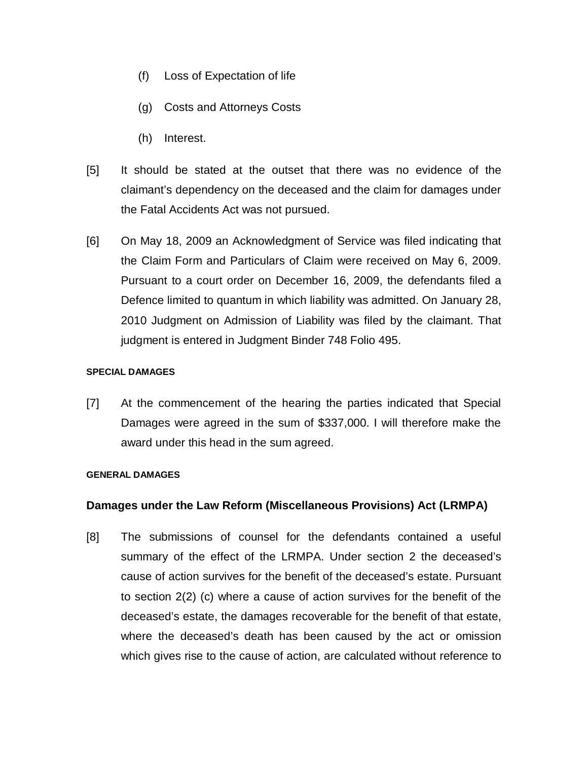- (f) Loss of Expectation of life
- (g) Costs and Attorneys Costs
- (h) Interest.
- [5] It should be stated at the outset that there was no evidence of the claimant's dependency on the deceased and the claim for damages under the Fatal Accidents Act was not pursued.
- [6] On May 18, 2009 an Acknowledgment of Service was filed indicating that the Claim Form and Particulars of Claim were received on May 6, 2009. Pursuant to a court order on December 16, 2009, the defendants filed a Defence limited to quantum in which liability was admitted. On January 28, 2010 Judgment on Admission of Liability was filed by the claimant. That judgment is entered in Judgment Binder 748 Folio 495.

#### **SPECIAL DAMAGES**

[7] At the commencement of the hearing the parties indicated that Special Damages were agreed in the sum of \$337,000. I will therefore make the award under this head in the sum agreed.

#### **GENERAL DAMAGES**

### **Damages under the Law Reform (Miscellaneous Provisions) Act (LRMPA)**

[8] The submissions of counsel for the defendants contained a useful summary of the effect of the LRMPA. Under section 2 the deceased's cause of action survives for the benefit of the deceased's estate. Pursuant to section 2(2) (c) where a cause of action survives for the benefit of the deceased's estate, the damages recoverable for the benefit of that estate, where the deceased's death has been caused by the act or omission which gives rise to the cause of action, are calculated without reference to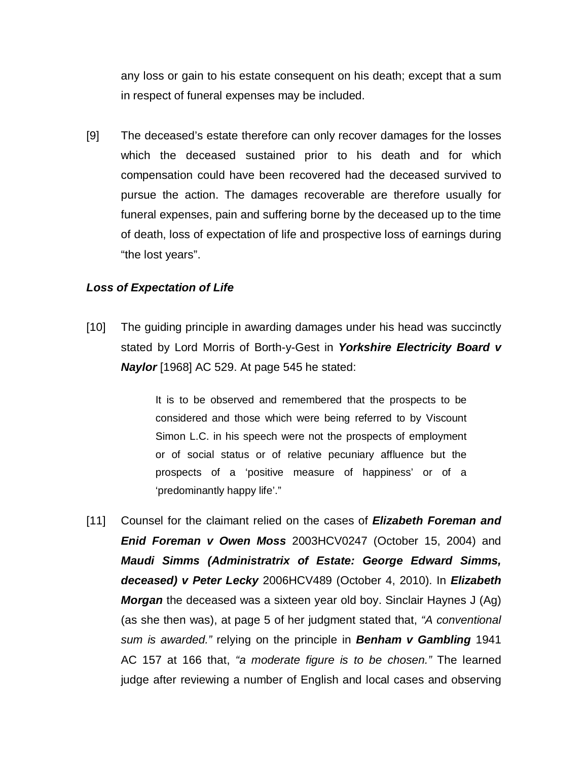any loss or gain to his estate consequent on his death; except that a sum in respect of funeral expenses may be included.

[9] The deceased's estate therefore can only recover damages for the losses which the deceased sustained prior to his death and for which compensation could have been recovered had the deceased survived to pursue the action. The damages recoverable are therefore usually for funeral expenses, pain and suffering borne by the deceased up to the time of death, loss of expectation of life and prospective loss of earnings during "the lost years".

#### *Loss of Expectation of Life*

[10] The guiding principle in awarding damages under his head was succinctly stated by Lord Morris of Borth-y-Gest in *Yorkshire Electricity Board v Naylor* [1968] AC 529. At page 545 he stated:

> It is to be observed and remembered that the prospects to be considered and those which were being referred to by Viscount Simon L.C. in his speech were not the prospects of employment or of social status or of relative pecuniary affluence but the prospects of a 'positive measure of happiness' or of a 'predominantly happy life'."

[11] Counsel for the claimant relied on the cases of *Elizabeth Foreman and Enid Foreman v Owen Moss* 2003HCV0247 (October 15, 2004) and *Maudi Simms (Administratrix of Estate: George Edward Simms, deceased) v Peter Lecky* 2006HCV489 (October 4, 2010). In *Elizabeth Morgan* the deceased was a sixteen year old boy. Sinclair Haynes J (Ag) (as she then was), at page 5 of her judgment stated that, *"A conventional sum is awarded."* relying on the principle in *Benham v Gambling* 1941 AC 157 at 166 that, *"a moderate figure is to be chosen."* The learned judge after reviewing a number of English and local cases and observing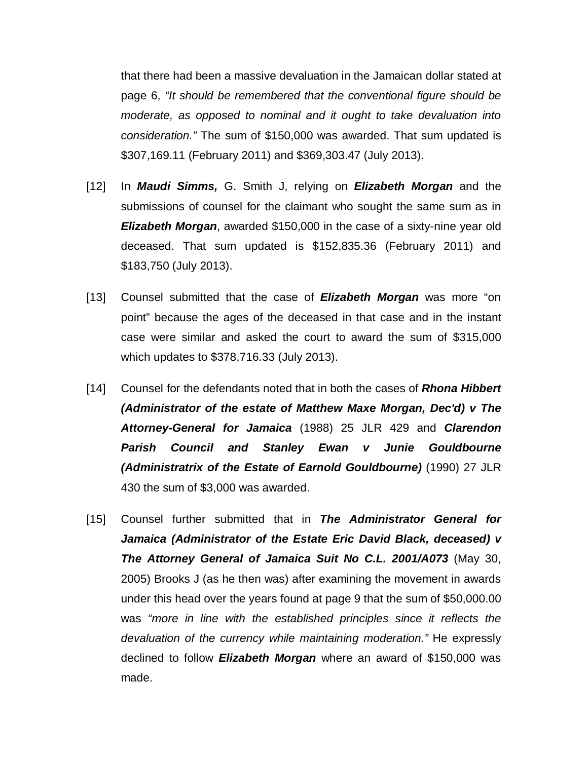that there had been a massive devaluation in the Jamaican dollar stated at page 6, *"It should be remembered that the conventional figure should be moderate, as opposed to nominal and it ought to take devaluation into consideration."* The sum of \$150,000 was awarded. That sum updated is \$307,169.11 (February 2011) and \$369,303.47 (July 2013).

- [12] In *Maudi Simms,* G. Smith J, relying on *Elizabeth Morgan* and the submissions of counsel for the claimant who sought the same sum as in *Elizabeth Morgan*, awarded \$150,000 in the case of a sixty-nine year old deceased. That sum updated is \$152,835.36 (February 2011) and \$183,750 (July 2013).
- [13] Counsel submitted that the case of *Elizabeth Morgan* was more "on point" because the ages of the deceased in that case and in the instant case were similar and asked the court to award the sum of \$315,000 which updates to \$378,716.33 (July 2013).
- [14] Counsel for the defendants noted that in both the cases of *Rhona Hibbert (Administrator of the estate of Matthew Maxe Morgan, Dec'd) v The Attorney-General for Jamaica* (1988) 25 JLR 429 and *Clarendon Parish Council and Stanley Ewan v Junie Gouldbourne (Administratrix of the Estate of Earnold Gouldbourne)* (1990) 27 JLR 430 the sum of \$3,000 was awarded.
- [15] Counsel further submitted that in *The Administrator General for Jamaica (Administrator of the Estate Eric David Black, deceased) v The Attorney General of Jamaica Suit No C.L. 2001/A073* (May 30, 2005) Brooks J (as he then was) after examining the movement in awards under this head over the years found at page 9 that the sum of \$50,000.00 was *"more in line with the established principles since it reflects the devaluation of the currency while maintaining moderation."* He expressly declined to follow *Elizabeth Morgan* where an award of \$150,000 was made.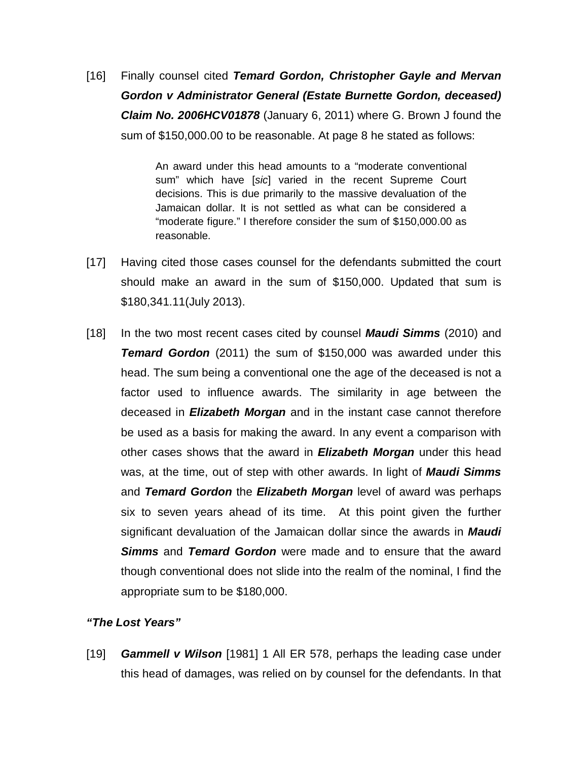[16] Finally counsel cited *Temard Gordon, Christopher Gayle and Mervan Gordon v Administrator General (Estate Burnette Gordon, deceased) Claim No. 2006HCV01878* (January 6, 2011) where G. Brown J found the sum of \$150,000.00 to be reasonable. At page 8 he stated as follows:

> An award under this head amounts to a "moderate conventional sum" which have [*sic*] varied in the recent Supreme Court decisions. This is due primarily to the massive devaluation of the Jamaican dollar. It is not settled as what can be considered a "moderate figure." I therefore consider the sum of \$150,000.00 as reasonable.

- [17] Having cited those cases counsel for the defendants submitted the court should make an award in the sum of \$150,000. Updated that sum is \$180,341.11(July 2013).
- [18] In the two most recent cases cited by counsel *Maudi Simms* (2010) and *Temard Gordon* (2011) the sum of \$150,000 was awarded under this head. The sum being a conventional one the age of the deceased is not a factor used to influence awards. The similarity in age between the deceased in *Elizabeth Morgan* and in the instant case cannot therefore be used as a basis for making the award. In any event a comparison with other cases shows that the award in *Elizabeth Morgan* under this head was, at the time, out of step with other awards. In light of *Maudi Simms* and *Temard Gordon* the *Elizabeth Morgan* level of award was perhaps six to seven years ahead of its time. At this point given the further significant devaluation of the Jamaican dollar since the awards in *Maudi Simms* and *Temard Gordon* were made and to ensure that the award though conventional does not slide into the realm of the nominal, I find the appropriate sum to be \$180,000.

### *"The Lost Years"*

[19] *Gammell v Wilson* [1981] 1 All ER 578, perhaps the leading case under this head of damages, was relied on by counsel for the defendants. In that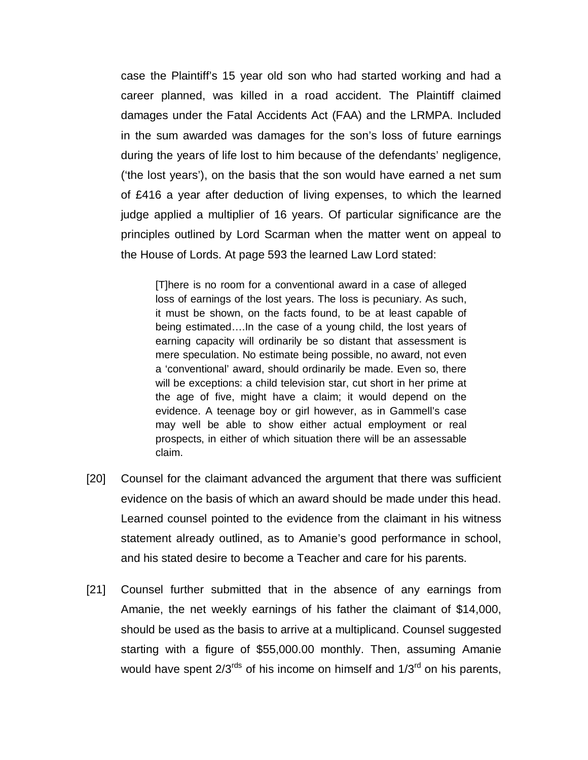case the Plaintiff's 15 year old son who had started working and had a career planned, was killed in a road accident. The Plaintiff claimed damages under the Fatal Accidents Act (FAA) and the LRMPA. Included in the sum awarded was damages for the son's loss of future earnings during the years of life lost to him because of the defendants' negligence, ('the lost years'), on the basis that the son would have earned a net sum of £416 a year after deduction of living expenses, to which the learned judge applied a multiplier of 16 years. Of particular significance are the principles outlined by Lord Scarman when the matter went on appeal to the House of Lords. At page 593 the learned Law Lord stated:

[T]here is no room for a conventional award in a case of alleged loss of earnings of the lost years. The loss is pecuniary. As such, it must be shown, on the facts found, to be at least capable of being estimated….In the case of a young child, the lost years of earning capacity will ordinarily be so distant that assessment is mere speculation. No estimate being possible, no award, not even a 'conventional' award, should ordinarily be made. Even so, there will be exceptions: a child television star, cut short in her prime at the age of five, might have a claim; it would depend on the evidence. A teenage boy or girl however, as in Gammell's case may well be able to show either actual employment or real prospects, in either of which situation there will be an assessable claim.

- [20] Counsel for the claimant advanced the argument that there was sufficient evidence on the basis of which an award should be made under this head. Learned counsel pointed to the evidence from the claimant in his witness statement already outlined, as to Amanie's good performance in school, and his stated desire to become a Teacher and care for his parents.
- [21] Counsel further submitted that in the absence of any earnings from Amanie, the net weekly earnings of his father the claimant of \$14,000, should be used as the basis to arrive at a multiplicand. Counsel suggested starting with a figure of \$55,000.00 monthly. Then, assuming Amanie would have spent  $2/3^{rds}$  of his income on himself and  $1/3^{rd}$  on his parents.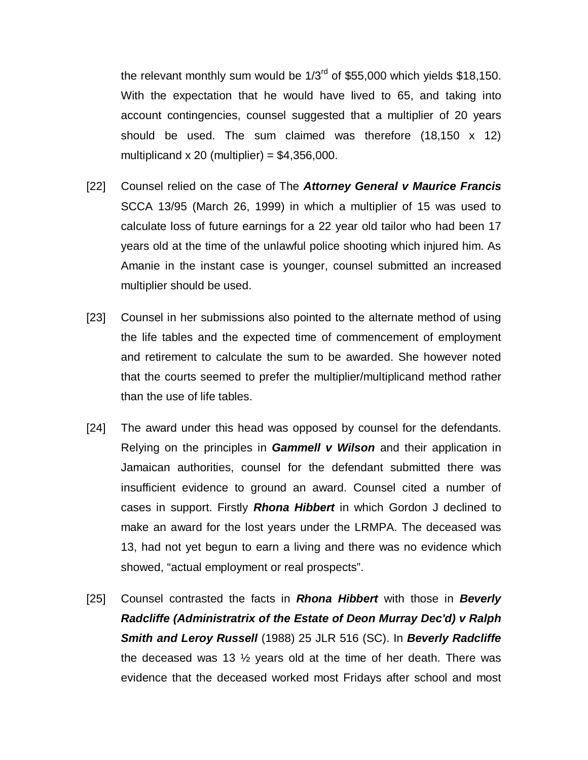the relevant monthly sum would be  $1/3^{rd}$  of \$55,000 which yields \$18,150. With the expectation that he would have lived to 65, and taking into account contingencies, counsel suggested that a multiplier of 20 years should be used. The sum claimed was therefore (18,150 x 12) multiplicand  $x 20$  (multiplier) = \$4,356,000.

- [22] Counsel relied on the case of The *Attorney General v Maurice Francis* SCCA 13/95 (March 26, 1999) in which a multiplier of 15 was used to calculate loss of future earnings for a 22 year old tailor who had been 17 years old at the time of the unlawful police shooting which injured him. As Amanie in the instant case is younger, counsel submitted an increased multiplier should be used.
- [23] Counsel in her submissions also pointed to the alternate method of using the life tables and the expected time of commencement of employment and retirement to calculate the sum to be awarded. She however noted that the courts seemed to prefer the multiplier/multiplicand method rather than the use of life tables.
- [24] The award under this head was opposed by counsel for the defendants. Relying on the principles in *Gammell v Wilson* and their application in Jamaican authorities, counsel for the defendant submitted there was insufficient evidence to ground an award. Counsel cited a number of cases in support. Firstly *Rhona Hibbert* in which Gordon J declined to make an award for the lost years under the LRMPA. The deceased was 13, had not yet begun to earn a living and there was no evidence which showed, "actual employment or real prospects".
- [25] Counsel contrasted the facts in *Rhona Hibbert* with those in *Beverly Radcliffe (Administratrix of the Estate of Deon Murray Dec'd) v Ralph Smith and Leroy Russell* (1988) 25 JLR 516 (SC). In *Beverly Radcliffe* the deceased was 13  $\frac{1}{2}$  years old at the time of her death. There was evidence that the deceased worked most Fridays after school and most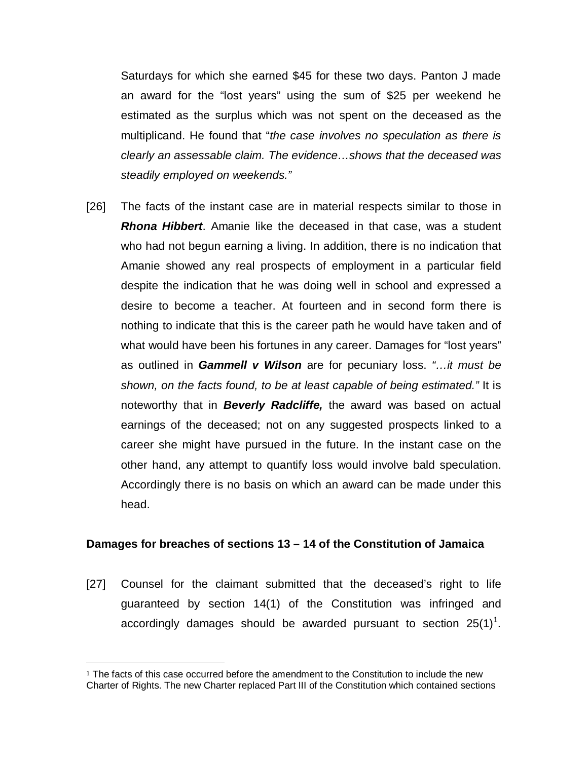Saturdays for which she earned \$45 for these two days. Panton J made an award for the "lost years" using the sum of \$25 per weekend he estimated as the surplus which was not spent on the deceased as the multiplicand. He found that "*the case involves no speculation as there is clearly an assessable claim. The evidence…shows that the deceased was steadily employed on weekends."*

[26] The facts of the instant case are in material respects similar to those in *Rhona Hibbert*. Amanie like the deceased in that case, was a student who had not begun earning a living. In addition, there is no indication that Amanie showed any real prospects of employment in a particular field despite the indication that he was doing well in school and expressed a desire to become a teacher. At fourteen and in second form there is nothing to indicate that this is the career path he would have taken and of what would have been his fortunes in any career. Damages for "lost years" as outlined in *Gammell v Wilson* are for pecuniary loss. *"…it must be shown, on the facts found, to be at least capable of being estimated."* It is noteworthy that in *Beverly Radcliffe,* the award was based on actual earnings of the deceased; not on any suggested prospects linked to a career she might have pursued in the future. In the instant case on the other hand, any attempt to quantify loss would involve bald speculation. Accordingly there is no basis on which an award can be made under this head.

#### **Damages for breaches of sections 13 – 14 of the Constitution of Jamaica**

[27] Counsel for the claimant submitted that the deceased's right to life guaranteed by section 14(1) of the Constitution was infringed and accordingly damages should be awarded pursuant to section  $25(1)^1$  $25(1)^1$  $25(1)^1$ .

 $\overline{a}$ 

<span id="page-8-0"></span> $1$  The facts of this case occurred before the amendment to the Constitution to include the new Charter of Rights. The new Charter replaced Part III of the Constitution which contained sections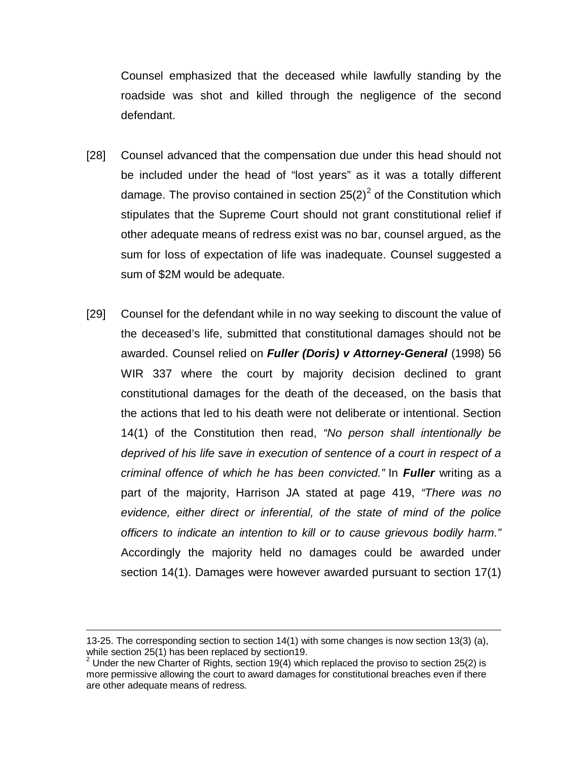Counsel emphasized that the deceased while lawfully standing by the roadside was shot and killed through the negligence of the second defendant.

- [28] Counsel advanced that the compensation due under this head should not be included under the head of "lost years" as it was a totally different damage. The proviso contained in section  $25(2)^2$  $25(2)^2$  of the Constitution which stipulates that the Supreme Court should not grant constitutional relief if other adequate means of redress exist was no bar, counsel argued, as the sum for loss of expectation of life was inadequate. Counsel suggested a sum of \$2M would be adequate.
- [29] Counsel for the defendant while in no way seeking to discount the value of the deceased's life, submitted that constitutional damages should not be awarded. Counsel relied on *Fuller (Doris) v Attorney-General* (1998) 56 WIR 337 where the court by majority decision declined to grant constitutional damages for the death of the deceased, on the basis that the actions that led to his death were not deliberate or intentional. Section 14(1) of the Constitution then read, *"No person shall intentionally be deprived of his life save in execution of sentence of a court in respect of a criminal offence of which he has been convicted."* In *Fuller* writing as a part of the majority, Harrison JA stated at page 419, *"There was no evidence, either direct or inferential, of the state of mind of the police officers to indicate an intention to kill or to cause grievous bodily harm."* Accordingly the majority held no damages could be awarded under section 14(1). Damages were however awarded pursuant to section 17(1)

 $\overline{a}$ 

<sup>13-25.</sup> The corresponding section to section 14(1) with some changes is now section 13(3) (a), while section 25(1) has been replaced by section 19.

<span id="page-9-0"></span> $2$  Under the new Charter of Rights, section 19(4) which replaced the proviso to section 25(2) is more permissive allowing the court to award damages for constitutional breaches even if there are other adequate means of redress.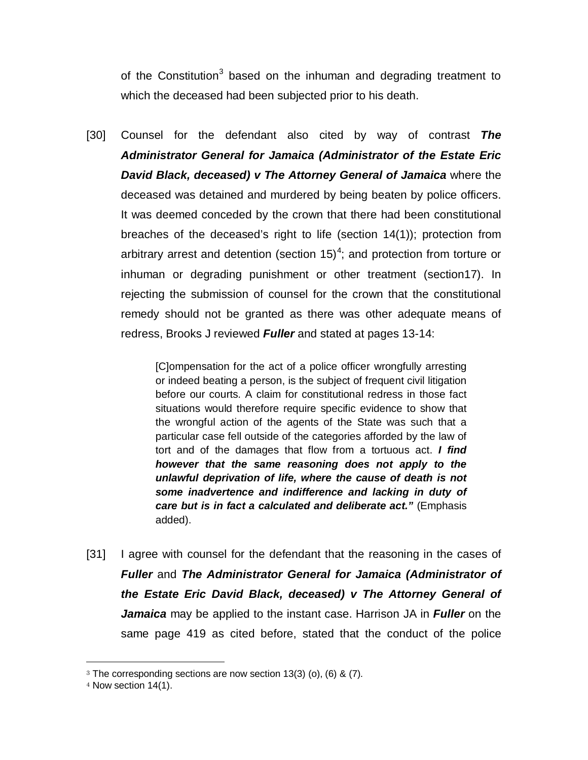of the Constitution<sup>[3](#page-10-0)</sup> based on the inhuman and degrading treatment to which the deceased had been subjected prior to his death.

[30] Counsel for the defendant also cited by way of contrast *The Administrator General for Jamaica (Administrator of the Estate Eric David Black, deceased) v The Attorney General of Jamaica* where the deceased was detained and murdered by being beaten by police officers. It was deemed conceded by the crown that there had been constitutional breaches of the deceased's right to life (section 14(1)); protection from arbitrary arrest and detention (section 15)<sup>[4](#page-10-1)</sup>; and protection from torture or inhuman or degrading punishment or other treatment (section17). In rejecting the submission of counsel for the crown that the constitutional remedy should not be granted as there was other adequate means of redress, Brooks J reviewed *Fuller* and stated at pages 13-14:

> [C]ompensation for the act of a police officer wrongfully arresting or indeed beating a person, is the subject of frequent civil litigation before our courts. A claim for constitutional redress in those fact situations would therefore require specific evidence to show that the wrongful action of the agents of the State was such that a particular case fell outside of the categories afforded by the law of tort and of the damages that flow from a tortuous act. *I find however that the same reasoning does not apply to the unlawful deprivation of life, where the cause of death is not some inadvertence and indifference and lacking in duty of care but is in fact a calculated and deliberate act."* (Emphasis added).

[31] I agree with counsel for the defendant that the reasoning in the cases of *Fuller* and *The Administrator General for Jamaica (Administrator of the Estate Eric David Black, deceased) v The Attorney General of Jamaica* may be applied to the instant case. Harrison JA in *Fuller* on the same page 419 as cited before, stated that the conduct of the police

 $\overline{a}$ 

<span id="page-10-0"></span><sup>3</sup> The corresponding sections are now section 13(3) (o), (6) & (7).

<span id="page-10-1"></span><sup>4</sup> Now section 14(1).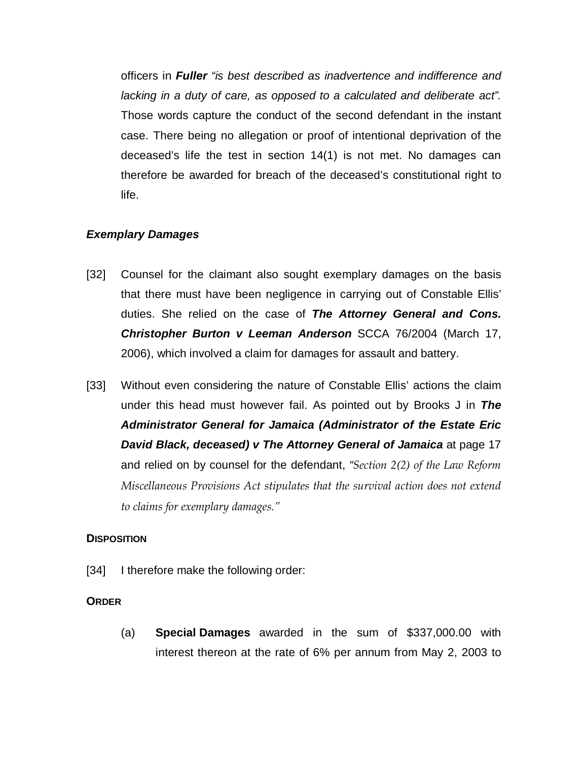officers in *Fuller "is best described as inadvertence and indifference and lacking in a duty of care, as opposed to a calculated and deliberate act".* Those words capture the conduct of the second defendant in the instant case. There being no allegation or proof of intentional deprivation of the deceased's life the test in section 14(1) is not met. No damages can therefore be awarded for breach of the deceased's constitutional right to life.

### *Exemplary Damages*

- [32] Counsel for the claimant also sought exemplary damages on the basis that there must have been negligence in carrying out of Constable Ellis' duties. She relied on the case of *The Attorney General and Cons. Christopher Burton v Leeman Anderson* SCCA 76/2004 (March 17, 2006), which involved a claim for damages for assault and battery.
- [33] Without even considering the nature of Constable Ellis' actions the claim under this head must however fail. As pointed out by Brooks J in *The Administrator General for Jamaica (Administrator of the Estate Eric David Black, deceased) v The Attorney General of Jamaica* at page 17 and relied on by counsel for the defendant, *"Section 2(2) of the Law Reform Miscellaneous Provisions Act stipulates that the survival action does not extend to claims for exemplary damages."*

### **DISPOSITION**

[34] I therefore make the following order:

### **ORDER**

(a) **Special Damages** awarded in the sum of \$337,000.00 with interest thereon at the rate of 6% per annum from May 2, 2003 to